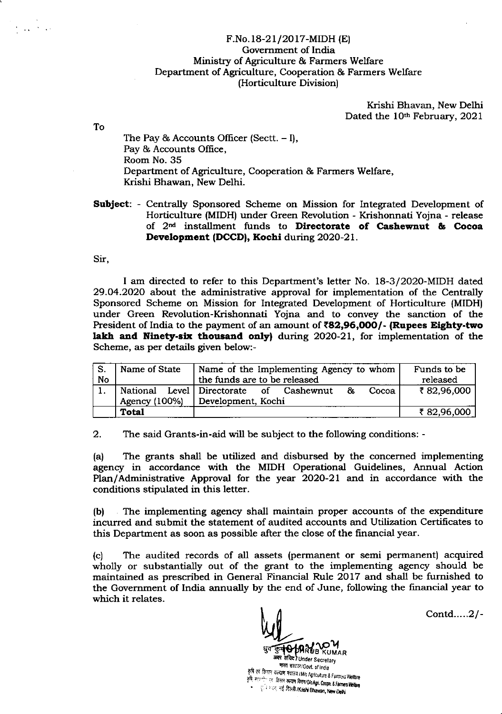## F.No. 18-2 1/20 17-MIDH (E) Government of India Ministry of Agriculture & Farmers Welfare Department of Agriculture, Cooperation & Farmers Welfare (Horticulture Division)

Krishi Bhavan, New Delhi Dated the 10<sup>th</sup> February, 2021

The Pay  $\&$  Accounts Officer (Sectt.  $-$  I), Pay & Accounts Office, Room No. 35 Department of Agriculture, Cooperation & Farmers Welfare, Krishi Bhawan, New Delhi.

SubJect: - Centrally Sponsored Scheme on Mission for Integrated Development of Horticulture (MIDH) under Green Revolution - Krishonnati Yojna - release of 2nd installment funds to Dircctorate of Cashewaut & Cocoa Development (DCCD), Kochi during 2020-21.

Sir,

To

 $\frac{1}{2} \frac{1}{4} \frac{1}{2} \frac{1}{2} \frac{1}{2} \frac{1}{2} \frac{1}{2}$ 

I am directed to refer to this Departrnent's letter No. 18-3/2O2O-MIDH dated 29.O4.2O2O about the administrative approval for implementation of the Centrally Sponsored Scheme on Mission for Integrated Development of Horticulture (MIDH) under Green Revolution-Krishonnati Yojna and to convey the sanction of the President of India to the payment of an amount of  $\texttt{82,96,000/-}$  (Rupees Eighty-two lakh and Ninety-six thousand only) during 2020-21, for implementation of the Scheme, as per details given below:-

| S.        | Name of State | Name of the Implementing Agency to whom      | Funds to be |
|-----------|---------------|----------------------------------------------|-------------|
| <b>No</b> |               | released                                     |             |
|           | National      | Level Directorate of Cashewnut<br>&<br>Cocoa | ₹82,96,000  |
|           | Agency (100%) | Development, Kochi                           |             |
|           | Total         |                                              | ₹ 82,96,000 |

2. The said Grants-in-aid will be subject to the following conditions: -

(a) The grants shall be utilized and disbursed by the concerned implementing agency in accordance with the MIDH Operational Guidelines, Annual Action Plan/Administrative Approval for the year 2O2O-21 and in accordance with the conditions stipulated in this letter.

(b) The implementing agency shall maintain proper accounts of the expenditure incurred and submit the statement of audited accounts and Utilization Certificates to this Department as soon as possible after the close of the financial year.

(c) The audited records of all assets (permanent or semi permanent) acquired wholly or substantially out of the grant to the implementing agency should be maintained as prescribed in General Financial Rule 2O17 and shall be furnished to the Government of India annually by the end of June, following the financial year to which it relates.

 $W_{\perp}$ 

Contd.....2/-

 $\frac{1}{\sqrt{\frac{2}{3}}\sqrt{\frac{4}{3}}\sqrt{\frac{4}{3}}}}\sum_{\text{where}}^{\text{max}}\frac{1}{\sqrt{\frac{2}{3}}\sqrt{\frac{4}{3}}}}\sum_{\text{where}}^{\text{max}}\frac{1}{\sqrt{\frac{2}{3}}\sqrt{\frac{4}{3}}\sqrt{\frac{4}{3}}}}$ मारत सरदार/Govt. of India<br>कृषि एवं किसान कल्याम मंत्रालय /M/o Agriculture & Farmers Welfare<br>कृषि सहयानेन यह किसान कल्याम विषय /Dreaded August 20 कृषि, सहय केले पर समय ने बादय में 2000 Agnouture & Farmers Welfare<br>कृषि, सहय केले किसील कल्याण विमान/D/o Agri, Coope, & Farmers Welfare i से स्थान के अन्यत अनुसार एवं Agn. Coopt. & Farme<br>हूँ से भदन, नई दिल्ली /Krishi Bhawan, New Delh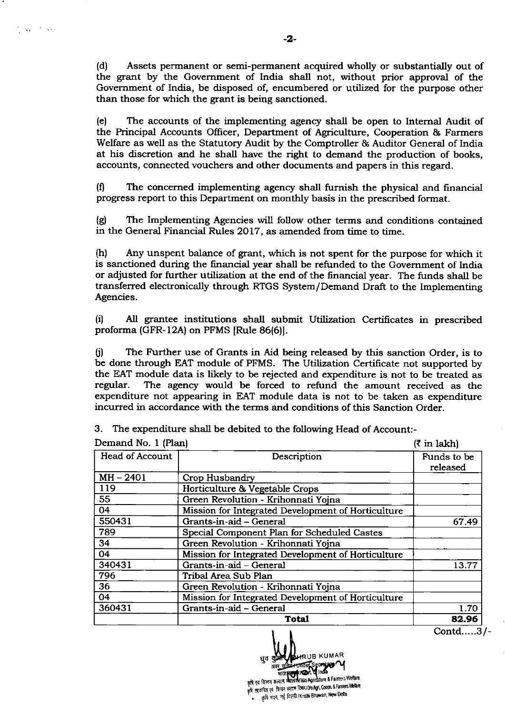(d) Assets permanent or semi-permanent acquired wholly or substantially out of the grant by the Government of India shall not, without prior approval of the Government of lndia, be disposed of, encumbered or utilized for the purpose other than those for which the grant is being sanctioned.

(e) The accounts of the implementing agenry shall be open to Intemal Audit of the Principal Accounts Offrcer, Department of Agriculture, Cooperation & Farmers Welfare as well as the Statutory Audit by the Comptroller & Auditor General of India at his discretion and he shall have the right to demand the production of books, accounts, connected vouchers and other documents and papers in this regard.

 $(1)$  The concerned implementing agency shall furnish the physical and financial progress report to this Department on monthly basis in the prescribed format.

(g) The Implementing Agencies will follow other terms and conditions contained in the General Financial Rules 2017, as amended from time to time.

(h) Any unspent balance of grant, which is not spent for the purpose for which it is sanctioned during the financial year shall be refunded to the Government of India or adjusted for further utilization at the end of the financial year. The funds shall be transferred electronically through RTGS System/Demand Draft to the Implementing Agencies.

(i) All grantee institutions shall submit Utilization Certificates in prescribed proforma (GFR-12A) on PFMS [Rule 86(6)].

 $(i)$  The Further use of Grants in Aid being released by this sanction Order, is to be done through EAT module of PFMS. The Utilization Certificate not supported by the EAT module data is likely to be rejected and expenditure is not to be treated as regular. The agency would be forced to refund the amount received as the The agency would be forced to refund the amount received as the expenditure not appearing in EAT module data is not to be taken as expenditure incurred in accordance with the terms and conditions of this Sanction Order.

| Demand No. 1 (Plan)    | $(3 \in \mathbb{R}^2)$                             |                         |
|------------------------|----------------------------------------------------|-------------------------|
| <b>Head of Account</b> | Description                                        | Funds to be<br>released |
| $MH - 2401$            | <b>Crop Husbandry</b>                              |                         |
| 119                    | Horticulture & Vegetable Crops                     |                         |
| 55                     | Green Revolution - Krihonnati Yojna                |                         |
| 04                     | Mission for Integrated Development of Horticulture |                         |
| 550431                 | Grants-in-aid - General                            | 67.49                   |
| 789                    | Special Component Plan for Scheduled Castes        |                         |
| 34                     | Green Revolution - Krihonnati Yojna                |                         |
| 04                     | Mission for Integrated Development of Horticulture |                         |
| 340431                 | Grants-in-aid - General                            | 13.77                   |
| 796                    | Tribal Area Sub Plan                               |                         |
| 36                     | Green Revolution - Krihonnati Yojna                |                         |
| 04                     | Mission for Integrated Development of Horticulture |                         |
| 360431                 | Grants-in-aid - General                            | 1.70                    |
|                        | <b>Total</b>                                       | 82.96                   |

3. The expenditure shall be debited to the following Head of Account:-

Total **82.96 Contd.....3/-**<br>
Eq definition of the second of the second of the second of the second of the second of the second of the second of the second of the second of the second of the second of the second of the seco

 $\Delta\chi^2 = 2\pi\Delta\Omega$